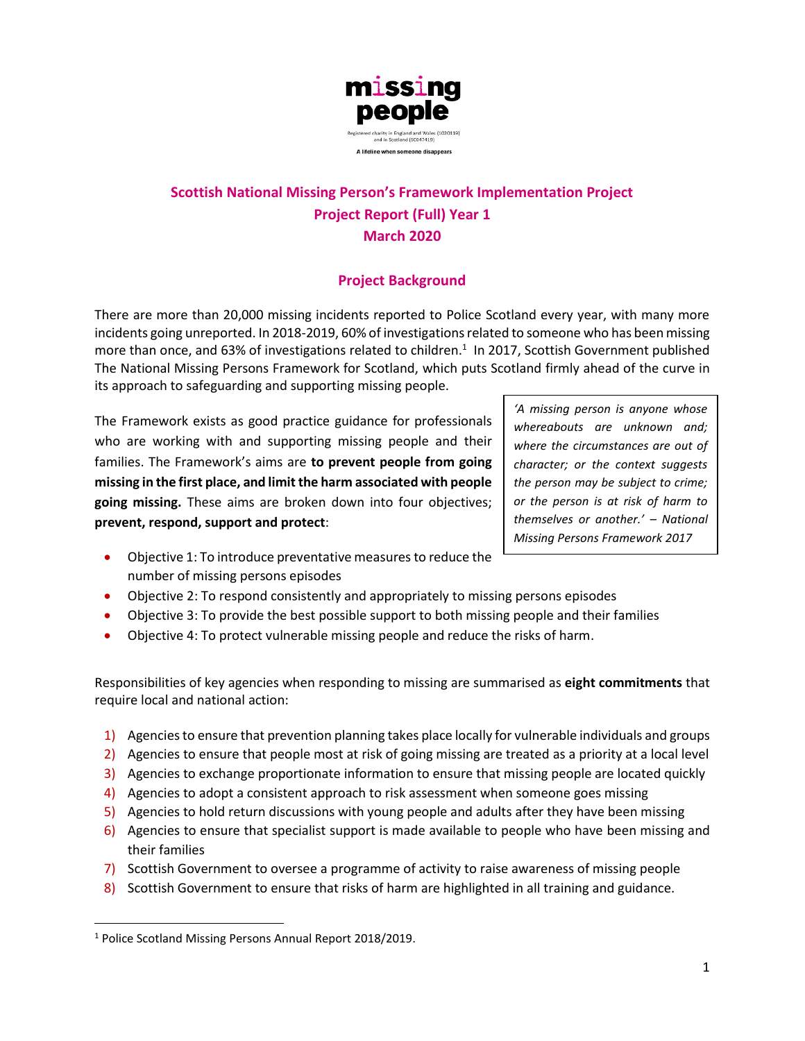

# **Scottish National Missing Person's Framework Implementation Project Project Report (Full) Year 1 March 2020**

# **Project Background**

There are more than 20,000 missing incidents reported to Police Scotland every year, with many more incidents going unreported. In 2018-2019, 60% of investigations related to someone who has been missing more than once, and 63% of investigations related to children.<sup>1</sup> In 2017, Scottish Government published The National Missing Persons Framework for Scotland, which puts Scotland firmly ahead of the curve in its approach to safeguarding and supporting missing people.

The Framework exists as good practice guidance for professionals who are working with and supporting missing people and their families. The Framework's aims are **to prevent people from going missing in the first place, and limit the harm associated with people going missing.** These aims are broken down into four objectives; **prevent, respond, support and protect**:

*'A missing person is anyone whose whereabouts are unknown and; where the circumstances are out of character; or the context suggests the person may be subject to crime; or the person is at risk of harm to themselves or another.' – National Missing Persons Framework 2017*

- Objective 1: To introduce preventative measures to reduce the number of missing persons episodes
- Objective 2: To respond consistently and appropriately to missing persons episodes
- Objective 3: To provide the best possible support to both missing people and their families
- Objective 4: To protect vulnerable missing people and reduce the risks of harm.

Responsibilities of key agencies when responding to missing are summarised as **eight commitments** that require local and national action:

- 1) Agencies to ensure that prevention planning takes place locally for vulnerable individuals and groups
- 2) Agencies to ensure that people most at risk of going missing are treated as a priority at a local level
- 3) Agencies to exchange proportionate information to ensure that missing people are located quickly
- 4) Agencies to adopt a consistent approach to risk assessment when someone goes missing
- 5) Agencies to hold return discussions with young people and adults after they have been missing
- 6) Agencies to ensure that specialist support is made available to people who have been missing and their families
- 7) Scottish Government to oversee a programme of activity to raise awareness of missing people
- 8) Scottish Government to ensure that risks of harm are highlighted in all training and guidance.

<sup>1</sup> Police Scotland Missing Persons Annual Report 2018/2019.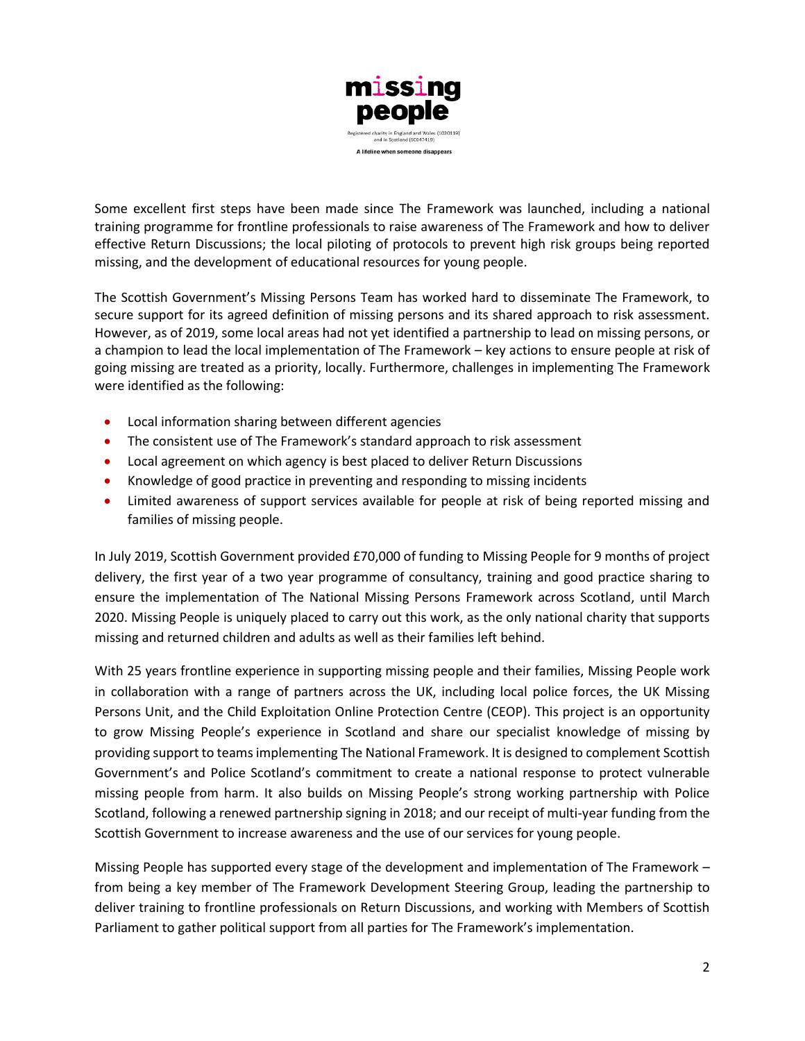

Some excellent first steps have been made since The Framework was launched, including a national training programme for frontline professionals to raise awareness of The Framework and how to deliver effective Return Discussions; the local piloting of protocols to prevent high risk groups being reported missing, and the development of educational resources for young people.

The Scottish Government's Missing Persons Team has worked hard to disseminate The Framework, to secure support for its agreed definition of missing persons and its shared approach to risk assessment. However, as of 2019, some local areas had not yet identified a partnership to lead on missing persons, or a champion to lead the local implementation of The Framework – key actions to ensure people at risk of going missing are treated as a priority, locally. Furthermore, challenges in implementing The Framework were identified as the following:

- Local information sharing between different agencies
- The consistent use of The Framework's standard approach to risk assessment
- Local agreement on which agency is best placed to deliver Return Discussions
- Knowledge of good practice in preventing and responding to missing incidents
- Limited awareness of support services available for people at risk of being reported missing and families of missing people.

In July 2019, Scottish Government provided £70,000 of funding to Missing People for 9 months of project delivery, the first year of a two year programme of consultancy, training and good practice sharing to ensure the implementation of The National Missing Persons Framework across Scotland, until March 2020. Missing People is uniquely placed to carry out this work, as the only national charity that supports missing and returned children and adults as well as their families left behind.

With 25 years frontline experience in supporting missing people and their families, Missing People work in collaboration with a range of partners across the UK, including local police forces, the UK Missing Persons Unit, and the Child Exploitation Online Protection Centre (CEOP). This project is an opportunity to grow Missing People's experience in Scotland and share our specialist knowledge of missing by providing support to teams implementing The National Framework. It is designed to complement Scottish Government's and Police Scotland's commitment to create a national response to protect vulnerable missing people from harm. It also builds on Missing People's strong working partnership with Police Scotland, following a renewed partnership signing in 2018; and our receipt of multi-year funding from the Scottish Government to increase awareness and the use of our services for young people.

Missing People has supported every stage of the development and implementation of The Framework – from being a key member of The Framework Development Steering Group, leading the partnership to deliver training to frontline professionals on Return Discussions, and working with Members of Scottish Parliament to gather political support from all parties for The Framework's implementation.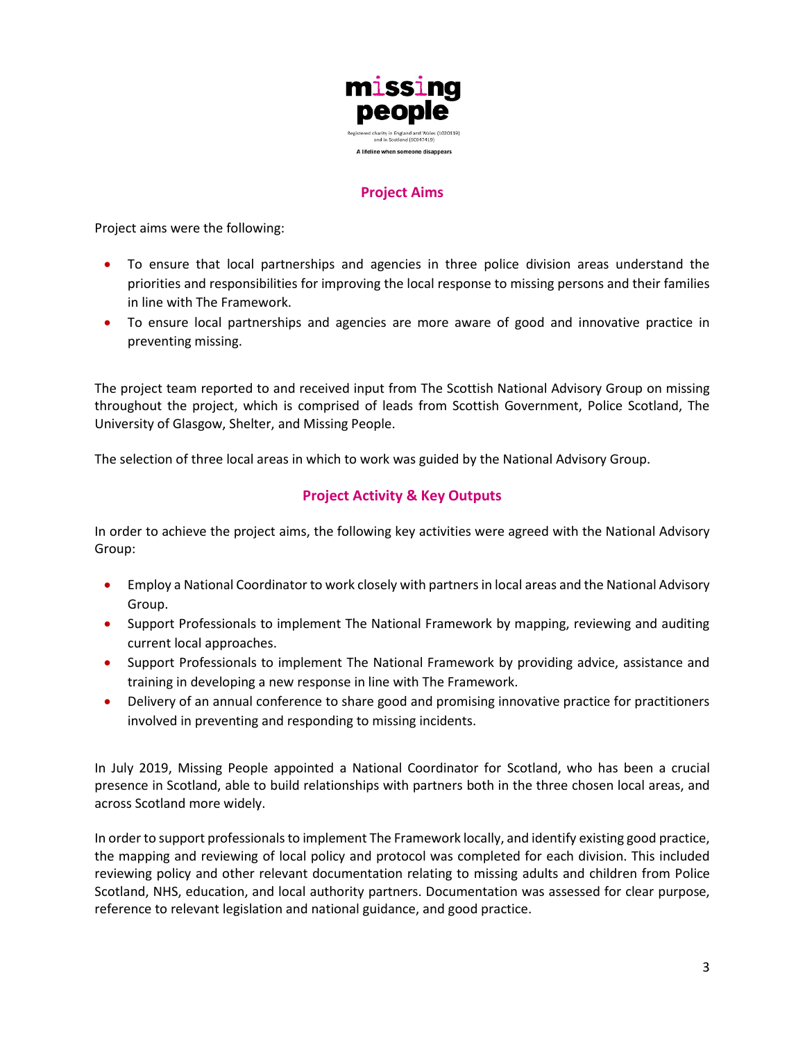

# **Project Aims**

Project aims were the following:

- To ensure that local partnerships and agencies in three police division areas understand the priorities and responsibilities for improving the local response to missing persons and their families in line with The Framework.
- To ensure local partnerships and agencies are more aware of good and innovative practice in preventing missing.

The project team reported to and received input from The Scottish National Advisory Group on missing throughout the project, which is comprised of leads from Scottish Government, Police Scotland, The University of Glasgow, Shelter, and Missing People.

The selection of three local areas in which to work was guided by the National Advisory Group.

# **Project Activity & Key Outputs**

In order to achieve the project aims, the following key activities were agreed with the National Advisory Group:

- Employ a National Coordinator to work closely with partners in local areas and the National Advisory Group.
- Support Professionals to implement The National Framework by mapping, reviewing and auditing current local approaches.
- Support Professionals to implement The National Framework by providing advice, assistance and training in developing a new response in line with The Framework.
- Delivery of an annual conference to share good and promising innovative practice for practitioners involved in preventing and responding to missing incidents.

In July 2019, Missing People appointed a National Coordinator for Scotland, who has been a crucial presence in Scotland, able to build relationships with partners both in the three chosen local areas, and across Scotland more widely.

In order to support professionals to implement The Framework locally, and identify existing good practice, the mapping and reviewing of local policy and protocol was completed for each division. This included reviewing policy and other relevant documentation relating to missing adults and children from Police Scotland, NHS, education, and local authority partners. Documentation was assessed for clear purpose, reference to relevant legislation and national guidance, and good practice.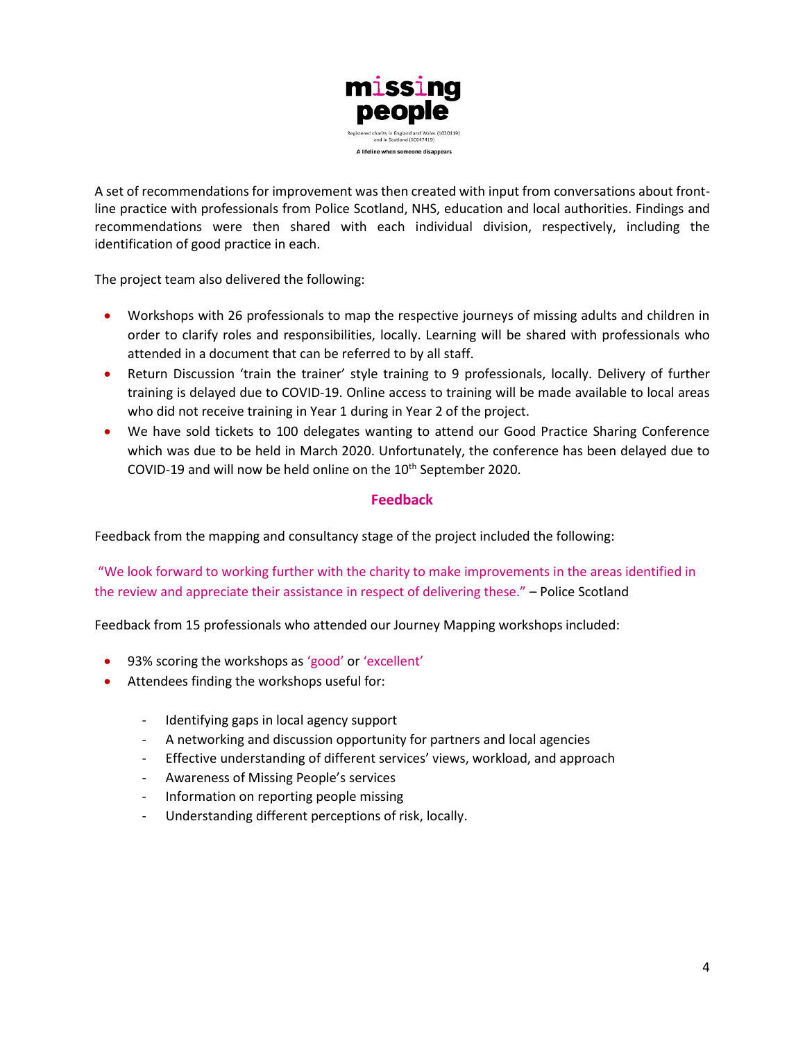

A set of recommendations for improvement was then created with input from conversations about frontline practice with professionals from Police Scotland, NHS, education and local authorities. Findings and recommendations were then shared with each individual division, respectively, including the identification of good practice in each.

The project team also delivered the following:

- Workshops with 26 professionals to map the respective journeys of missing adults and children in order to clarify roles and responsibilities, locally. Learning will be shared with professionals who attended in a document that can be referred to by all staff.
- Return Discussion 'train the trainer' style training to 9 professionals, locally. Delivery of further training is delayed due to COVID-19. Online access to training will be made available to local areas who did not receive training in Year 1 during in Year 2 of the project.
- We have sold tickets to 100 delegates wanting to attend our Good Practice Sharing Conference which was due to be held in March 2020. Unfortunately, the conference has been delayed due to COVID-19 and will now be held online on the 10<sup>th</sup> September 2020.

# **Feedback**

Feedback from the mapping and consultancy stage of the project included the following:

"We look forward to working further with the charity to make improvements in the areas identified in the review and appreciate their assistance in respect of delivering these." – Police Scotland

Feedback from 15 professionals who attended our Journey Mapping workshops included:

- 93% scoring the workshops as 'good' or 'excellent'
- Attendees finding the workshops useful for:
	- Identifying gaps in local agency support
	- A networking and discussion opportunity for partners and local agencies
	- Effective understanding of different services' views, workload, and approach
	- Awareness of Missing People's services
	- Information on reporting people missing
	- Understanding different perceptions of risk, locally.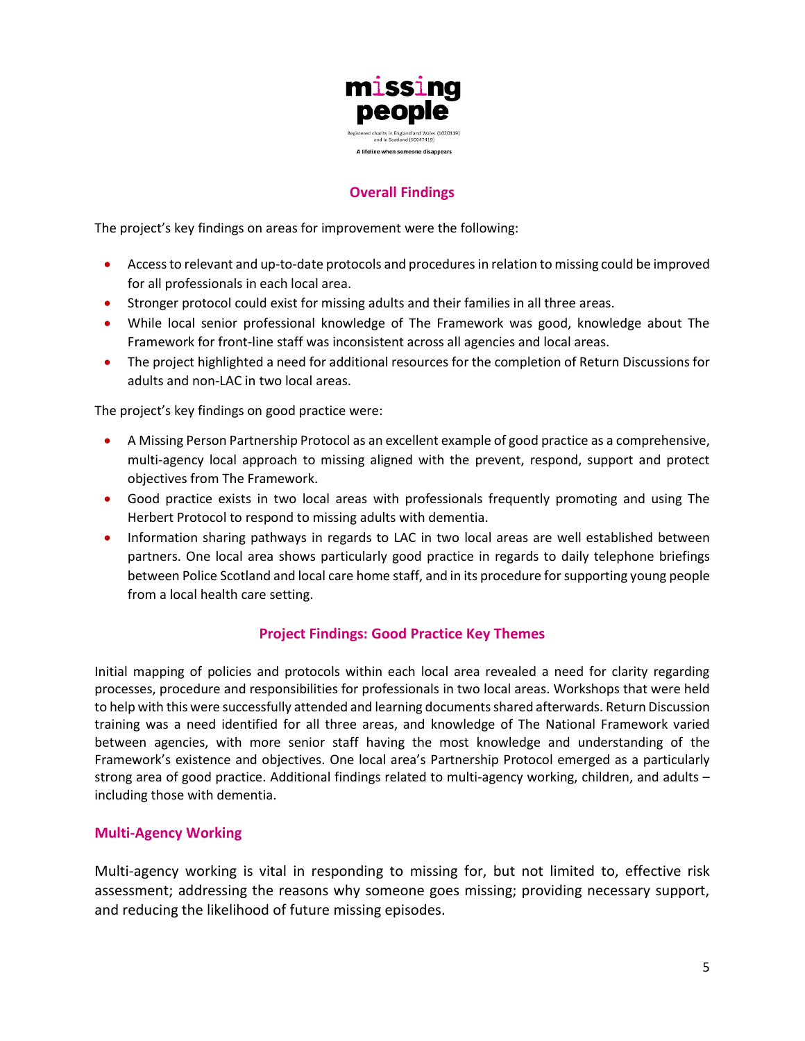

# **Overall Findings**

The project's key findings on areas for improvement were the following:

- Access to relevant and up-to-date protocols and procedures in relation to missing could be improved for all professionals in each local area.
- Stronger protocol could exist for missing adults and their families in all three areas.
- While local senior professional knowledge of The Framework was good, knowledge about The Framework for front-line staff was inconsistent across all agencies and local areas.
- The project highlighted a need for additional resources for the completion of Return Discussions for adults and non-LAC in two local areas.

The project's key findings on good practice were:

- A Missing Person Partnership Protocol as an excellent example of good practice as a comprehensive, multi-agency local approach to missing aligned with the prevent, respond, support and protect objectives from The Framework.
- Good practice exists in two local areas with professionals frequently promoting and using The Herbert Protocol to respond to missing adults with dementia.
- Information sharing pathways in regards to LAC in two local areas are well established between partners. One local area shows particularly good practice in regards to daily telephone briefings between Police Scotland and local care home staff, and in its procedure for supporting young people from a local health care setting.

# **Project Findings: Good Practice Key Themes**

Initial mapping of policies and protocols within each local area revealed a need for clarity regarding processes, procedure and responsibilities for professionals in two local areas. Workshops that were held to help with this were successfully attended and learning documents shared afterwards. Return Discussion training was a need identified for all three areas, and knowledge of The National Framework varied between agencies, with more senior staff having the most knowledge and understanding of the Framework's existence and objectives. One local area's Partnership Protocol emerged as a particularly strong area of good practice. Additional findings related to multi-agency working, children, and adults – including those with dementia.

# **Multi-Agency Working**

Multi-agency working is vital in responding to missing for, but not limited to, effective risk assessment; addressing the reasons why someone goes missing; providing necessary support, and reducing the likelihood of future missing episodes.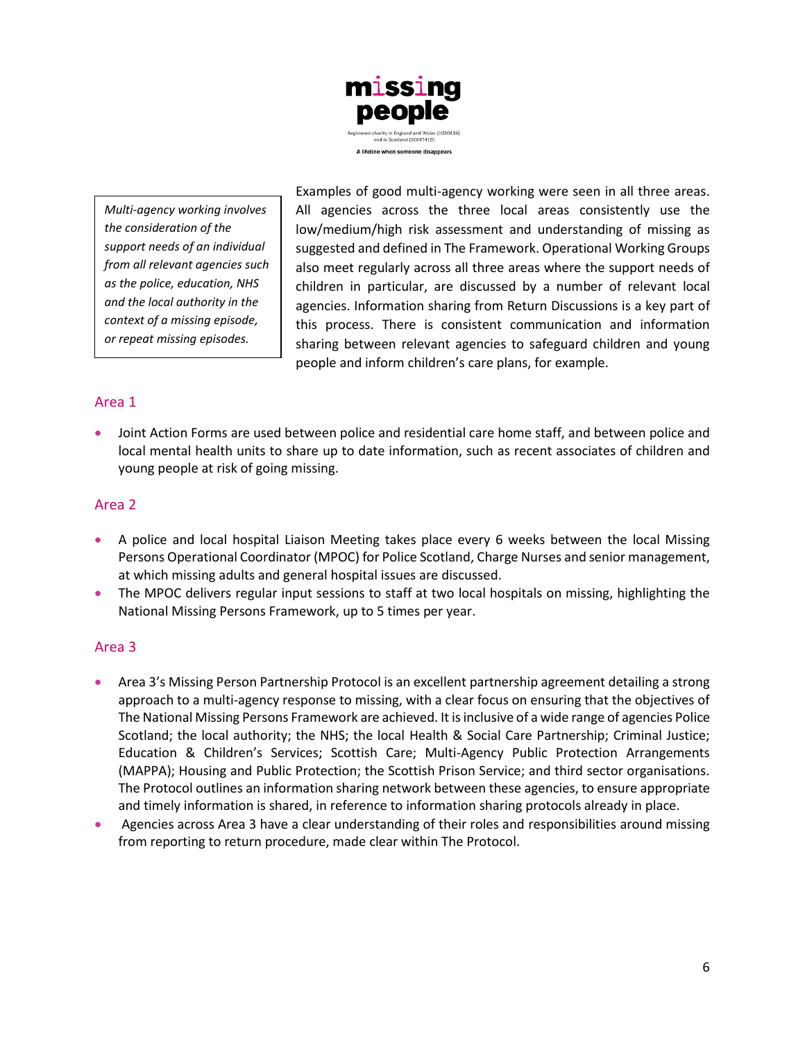

*Multi-agency working involves the consideration of the support needs of an individual from all relevant agencies such as the police, education, NHS and the local authority in the context of a missing episode, or repeat missing episodes.*

Examples of good multi-agency working were seen in all three areas. All agencies across the three local areas consistently use the low/medium/high risk assessment and understanding of missing as suggested and defined in The Framework. Operational Working Groups also meet regularly across all three areas where the support needs of children in particular, are discussed by a number of relevant local agencies. Information sharing from Return Discussions is a key part of this process. There is consistent communication and information sharing between relevant agencies to safeguard children and young people and inform children's care plans, for example.

# Area 1

• Joint Action Forms are used between police and residential care home staff, and between police and local mental health units to share up to date information, such as recent associates of children and young people at risk of going missing.

### Area 2

- A police and local hospital Liaison Meeting takes place every 6 weeks between the local Missing Persons Operational Coordinator (MPOC) for Police Scotland, Charge Nurses and senior management, at which missing adults and general hospital issues are discussed.
- The MPOC delivers regular input sessions to staff at two local hospitals on missing, highlighting the National Missing Persons Framework, up to 5 times per year.

# Area 3

- Area 3's Missing Person Partnership Protocol is an excellent partnership agreement detailing a strong approach to a multi-agency response to missing, with a clear focus on ensuring that the objectives of The National Missing Persons Framework are achieved. It is inclusive of a wide range of agencies Police Scotland; the local authority; the NHS; the local Health & Social Care Partnership; Criminal Justice; Education & Children's Services; Scottish Care; Multi-Agency Public Protection Arrangements (MAPPA); Housing and Public Protection; the Scottish Prison Service; and third sector organisations. The Protocol outlines an information sharing network between these agencies, to ensure appropriate and timely information is shared, in reference to information sharing protocols already in place.
- Agencies across Area 3 have a clear understanding of their roles and responsibilities around missing from reporting to return procedure, made clear within The Protocol.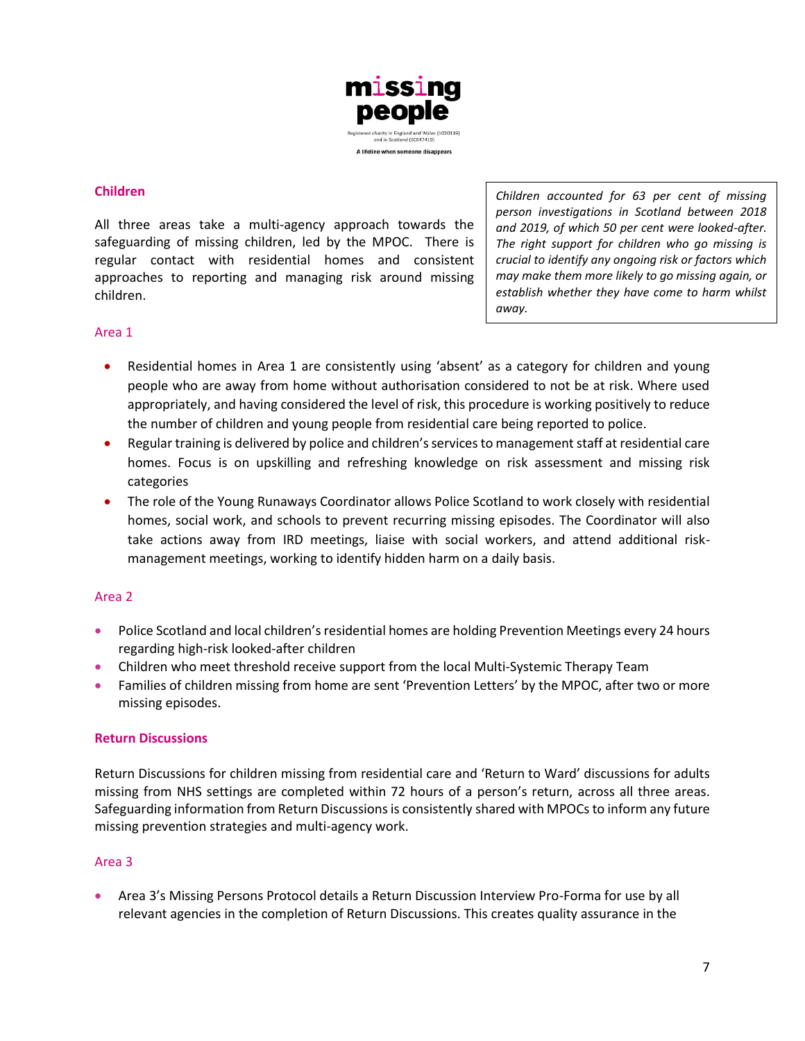

### **Children**

All three areas take a multi-agency approach towards the safeguarding of missing children, led by the MPOC. There is regular contact with residential homes and consistent approaches to reporting and managing risk around missing children.

*Children accounted for 63 per cent of missing person investigations in Scotland between 2018 and 2019, of which 50 per cent were looked-after. The right support for children who go missing is crucial to identify any ongoing risk or factors which may make them more likely to go missing again, or establish whether they have come to harm whilst away.* 

### Area 1

- Residential homes in Area 1 are consistently using 'absent' as a category for children and young people who are away from home without authorisation considered to not be at risk. Where used appropriately, and having considered the level of risk, this procedure is working positively to reduce the number of children and young people from residential care being reported to police.
- Regular training is delivered by police and children's services to management staff at residential care homes. Focus is on upskilling and refreshing knowledge on risk assessment and missing risk categories
- The role of the Young Runaways Coordinator allows Police Scotland to work closely with residential homes, social work, and schools to prevent recurring missing episodes. The Coordinator will also take actions away from IRD meetings, liaise with social workers, and attend additional riskmanagement meetings, working to identify hidden harm on a daily basis.

#### Area 2

- Police Scotland and local children's residential homes are holding Prevention Meetings every 24 hours regarding high-risk looked-after children
- Children who meet threshold receive support from the local Multi-Systemic Therapy Team
- Families of children missing from home are sent 'Prevention Letters' by the MPOC, after two or more missing episodes.

#### **Return Discussions**

Return Discussions for children missing from residential care and 'Return to Ward' discussions for adults missing from NHS settings are completed within 72 hours of a person's return, across all three areas. Safeguarding information from Return Discussions is consistently shared with MPOCs to inform any future missing prevention strategies and multi-agency work.

#### Area 3

• Area 3's Missing Persons Protocol details a Return Discussion Interview Pro-Forma for use by all relevant agencies in the completion of Return Discussions. This creates quality assurance in the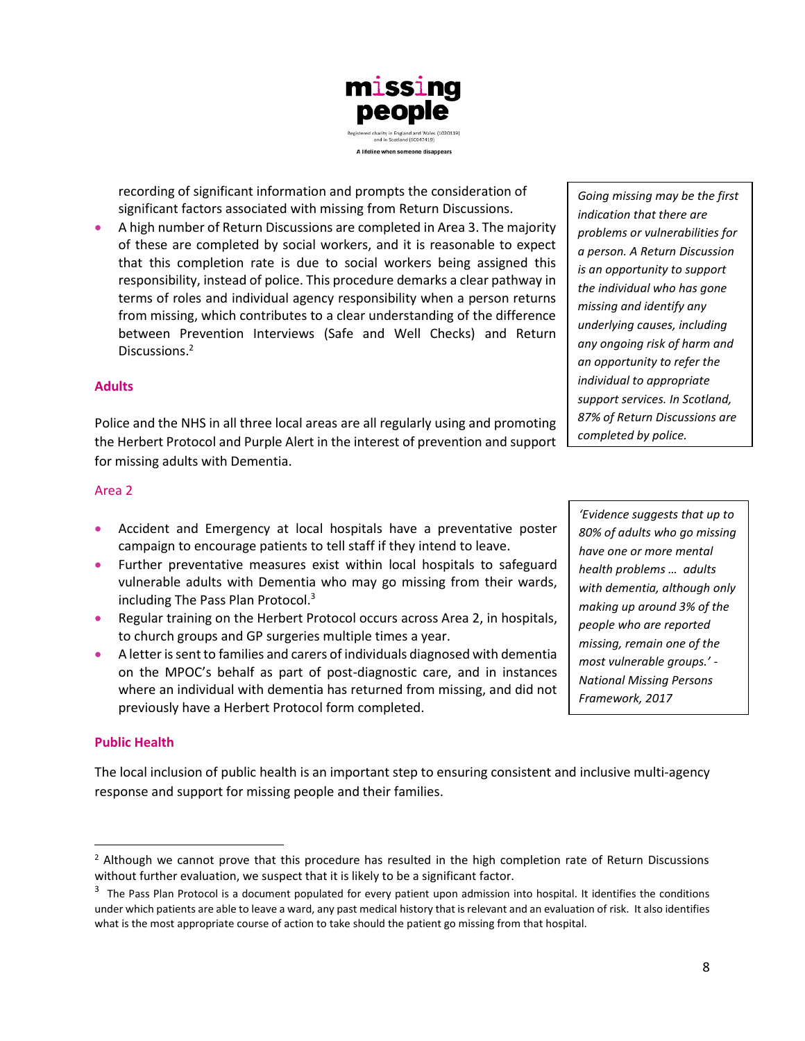

recording of significant information and prompts the consideration of significant factors associated with missing from Return Discussions.

• A high number of Return Discussions are completed in Area 3. The majority of these are completed by social workers, and it is reasonable to expect that this completion rate is due to social workers being assigned this responsibility, instead of police. This procedure demarks a clear pathway in terms of roles and individual agency responsibility when a person returns from missing, which contributes to a clear understanding of the difference between Prevention Interviews (Safe and Well Checks) and Return Discussions.<sup>2</sup>

#### **Adults**

Police and the NHS in all three local areas are all regularly using and promoting the Herbert Protocol and Purple Alert in the interest of prevention and support for missing adults with Dementia.

#### Area 2

- Accident and Emergency at local hospitals have a preventative poster campaign to encourage patients to tell staff if they intend to leave.
- Further preventative measures exist within local hospitals to safeguard vulnerable adults with Dementia who may go missing from their wards, including The Pass Plan Protocol.<sup>3</sup>
- Regular training on the Herbert Protocol occurs across Area 2, in hospitals, to church groups and GP surgeries multiple times a year.
- A letter is sent to families and carers of individuals diagnosed with dementia on the MPOC's behalf as part of post-diagnostic care, and in instances where an individual with dementia has returned from missing, and did not previously have a Herbert Protocol form completed.

#### **Public Health**

The local inclusion of public health is an important step to ensuring consistent and inclusive multi-agency response and support for missing people and their families.

*Going missing may be the first indication that there are problems or vulnerabilities for a person. A Return Discussion is an opportunity to support the individual who has gone missing and identify any underlying causes, including any ongoing risk of harm and an opportunity to refer the individual to appropriate support services. In Scotland, 87% of Return Discussions are completed by police.*

*'Evidence suggests that up to 80% of adults who go missing have one or more mental health problems … adults with dementia, although only making up around 3% of the people who are reported missing, remain one of the most vulnerable groups.' - National Missing Persons Framework, 2017* 

<sup>&</sup>lt;sup>2</sup> Although we cannot prove that this procedure has resulted in the high completion rate of Return Discussions without further evaluation, we suspect that it is likely to be a significant factor.

 $3$  The Pass Plan Protocol is a document populated for every patient upon admission into hospital. It identifies the conditions under which patients are able to leave a ward, any past medical history that is relevant and an evaluation of risk. It also identifies what is the most appropriate course of action to take should the patient go missing from that hospital.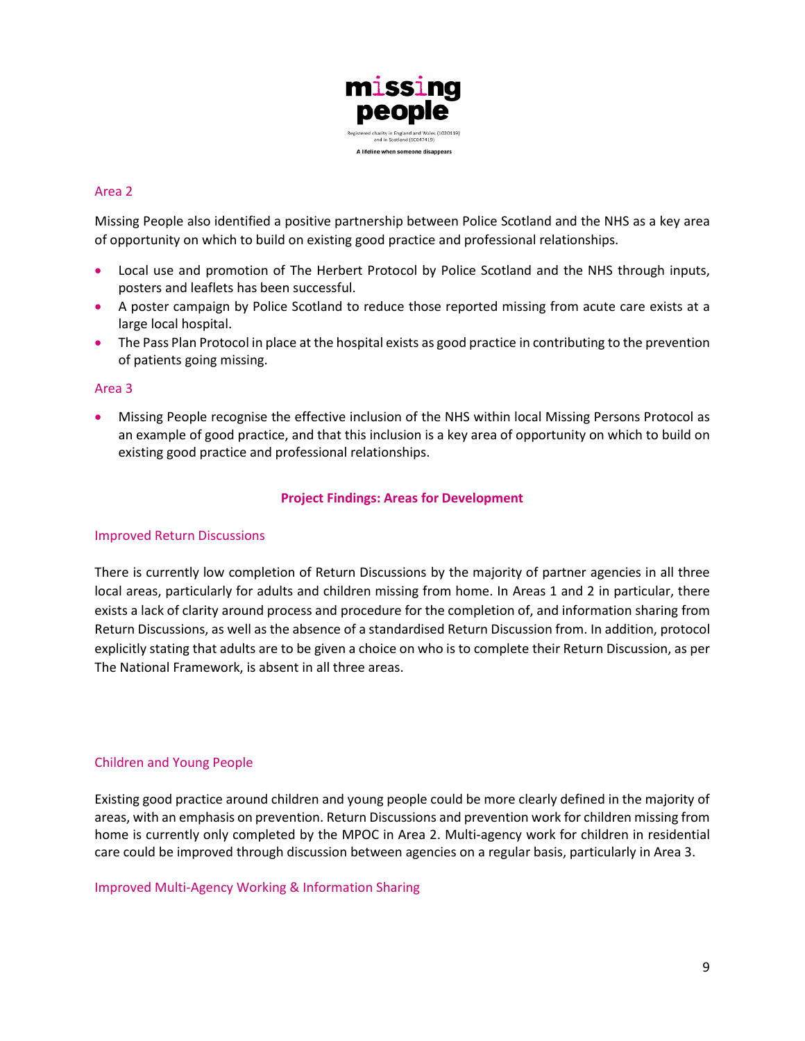

### Area 2

Missing People also identified a positive partnership between Police Scotland and the NHS as a key area of opportunity on which to build on existing good practice and professional relationships.

- Local use and promotion of The Herbert Protocol by Police Scotland and the NHS through inputs, posters and leaflets has been successful.
- A poster campaign by Police Scotland to reduce those reported missing from acute care exists at a large local hospital.
- The Pass Plan Protocol in place at the hospital exists as good practice in contributing to the prevention of patients going missing.

#### Area 3

• Missing People recognise the effective inclusion of the NHS within local Missing Persons Protocol as an example of good practice, and that this inclusion is a key area of opportunity on which to build on existing good practice and professional relationships.

#### **Project Findings: Areas for Development**

#### Improved Return Discussions

There is currently low completion of Return Discussions by the majority of partner agencies in all three local areas, particularly for adults and children missing from home. In Areas 1 and 2 in particular, there exists a lack of clarity around process and procedure for the completion of, and information sharing from Return Discussions, as well as the absence of a standardised Return Discussion from. In addition, protocol explicitly stating that adults are to be given a choice on who is to complete their Return Discussion, as per The National Framework, is absent in all three areas.

#### Children and Young People

Existing good practice around children and young people could be more clearly defined in the majority of areas, with an emphasis on prevention. Return Discussions and prevention work for children missing from home is currently only completed by the MPOC in Area 2. Multi-agency work for children in residential care could be improved through discussion between agencies on a regular basis, particularly in Area 3.

Improved Multi-Agency Working & Information Sharing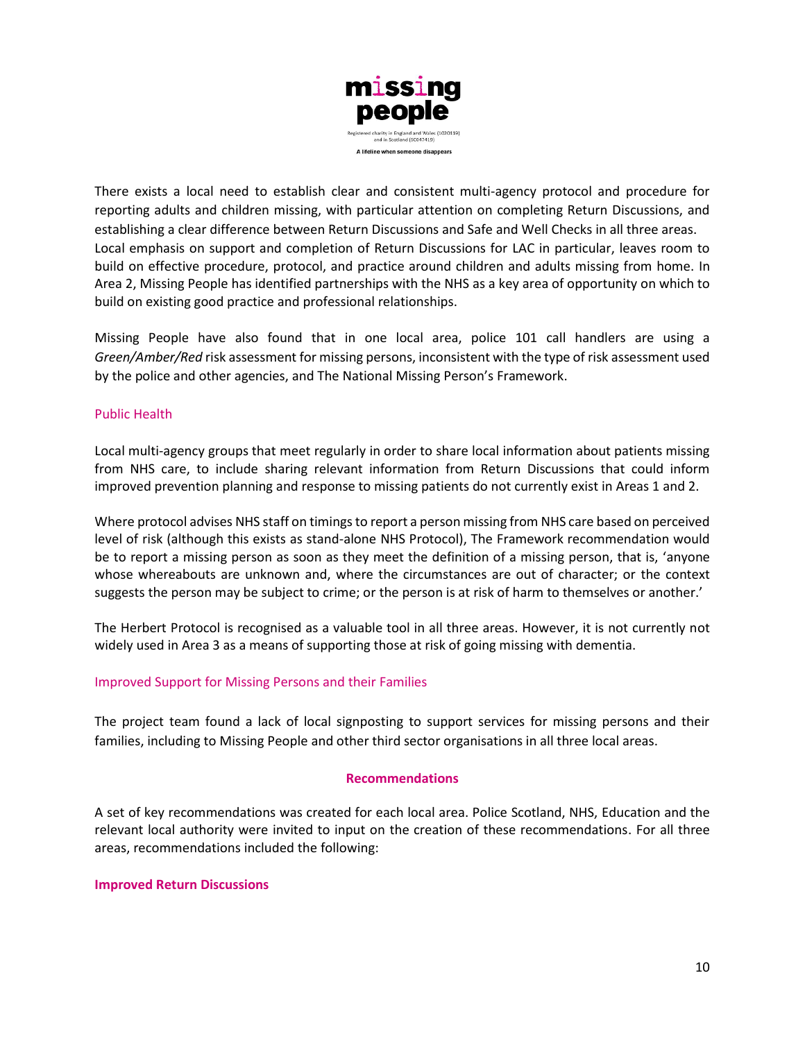

There exists a local need to establish clear and consistent multi-agency protocol and procedure for reporting adults and children missing, with particular attention on completing Return Discussions, and establishing a clear difference between Return Discussions and Safe and Well Checks in all three areas. Local emphasis on support and completion of Return Discussions for LAC in particular, leaves room to build on effective procedure, protocol, and practice around children and adults missing from home. In Area 2, Missing People has identified partnerships with the NHS as a key area of opportunity on which to build on existing good practice and professional relationships.

Missing People have also found that in one local area, police 101 call handlers are using a *Green/Amber/Red* risk assessment for missing persons, inconsistent with the type of risk assessment used by the police and other agencies, and The National Missing Person's Framework.

### Public Health

Local multi-agency groups that meet regularly in order to share local information about patients missing from NHS care, to include sharing relevant information from Return Discussions that could inform improved prevention planning and response to missing patients do not currently exist in Areas 1 and 2.

Where protocol advises NHS staff on timings to report a person missing from NHS care based on perceived level of risk (although this exists as stand-alone NHS Protocol), The Framework recommendation would be to report a missing person as soon as they meet the definition of a missing person, that is, 'anyone whose whereabouts are unknown and, where the circumstances are out of character; or the context suggests the person may be subject to crime; or the person is at risk of harm to themselves or another.'

The Herbert Protocol is recognised as a valuable tool in all three areas. However, it is not currently not widely used in Area 3 as a means of supporting those at risk of going missing with dementia.

#### Improved Support for Missing Persons and their Families

The project team found a lack of local signposting to support services for missing persons and their families, including to Missing People and other third sector organisations in all three local areas.

#### **Recommendations**

A set of key recommendations was created for each local area. Police Scotland, NHS, Education and the relevant local authority were invited to input on the creation of these recommendations. For all three areas, recommendations included the following:

#### **Improved Return Discussions**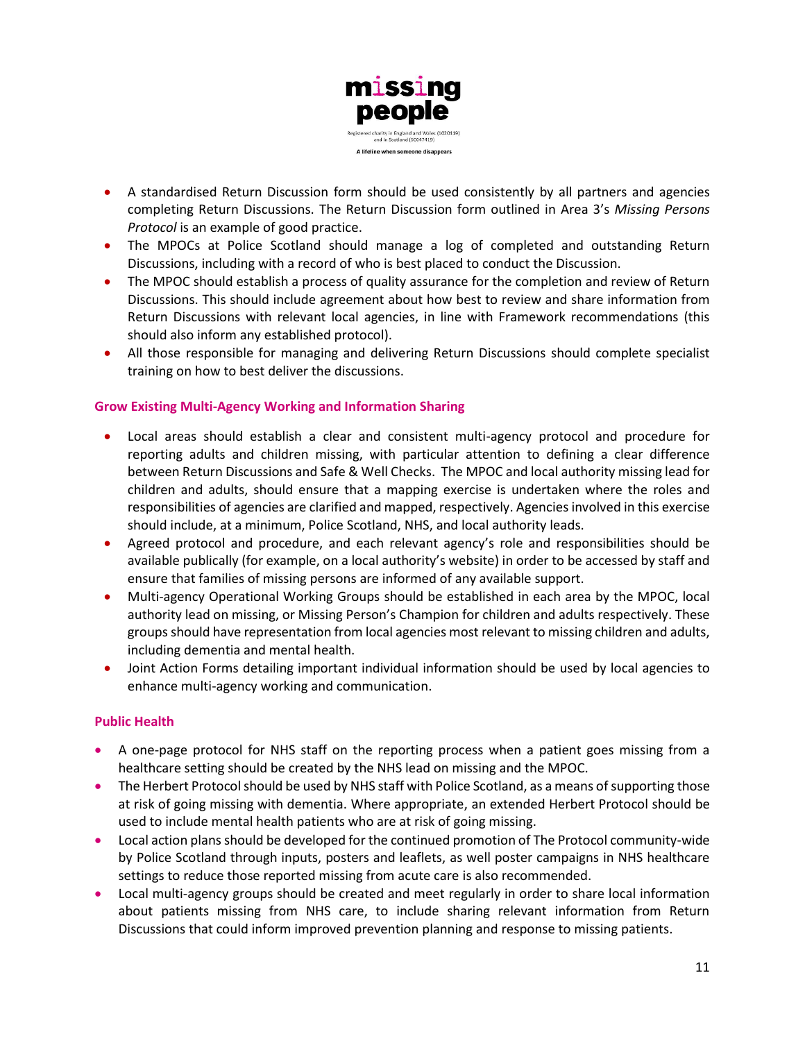

- A standardised Return Discussion form should be used consistently by all partners and agencies completing Return Discussions. The Return Discussion form outlined in Area 3's *Missing Persons Protocol* is an example of good practice.
- The MPOCs at Police Scotland should manage a log of completed and outstanding Return Discussions, including with a record of who is best placed to conduct the Discussion.
- The MPOC should establish a process of quality assurance for the completion and review of Return Discussions. This should include agreement about how best to review and share information from Return Discussions with relevant local agencies, in line with Framework recommendations (this should also inform any established protocol).
- All those responsible for managing and delivering Return Discussions should complete specialist training on how to best deliver the discussions.

### **Grow Existing Multi-Agency Working and Information Sharing**

- Local areas should establish a clear and consistent multi-agency protocol and procedure for reporting adults and children missing, with particular attention to defining a clear difference between Return Discussions and Safe & Well Checks. The MPOC and local authority missing lead for children and adults, should ensure that a mapping exercise is undertaken where the roles and responsibilities of agencies are clarified and mapped, respectively. Agencies involved in this exercise should include, at a minimum, Police Scotland, NHS, and local authority leads.
- Agreed protocol and procedure, and each relevant agency's role and responsibilities should be available publically (for example, on a local authority's website) in order to be accessed by staff and ensure that families of missing persons are informed of any available support.
- Multi-agency Operational Working Groups should be established in each area by the MPOC, local authority lead on missing, or Missing Person's Champion for children and adults respectively. These groups should have representation from local agencies most relevant to missing children and adults, including dementia and mental health.
- Joint Action Forms detailing important individual information should be used by local agencies to enhance multi-agency working and communication.

### **Public Health**

- A one-page protocol for NHS staff on the reporting process when a patient goes missing from a healthcare setting should be created by the NHS lead on missing and the MPOC.
- The Herbert Protocol should be used by NHS staff with Police Scotland, as a means of supporting those at risk of going missing with dementia. Where appropriate, an extended Herbert Protocol should be used to include mental health patients who are at risk of going missing.
- Local action plans should be developed for the continued promotion of The Protocol community-wide by Police Scotland through inputs, posters and leaflets, as well poster campaigns in NHS healthcare settings to reduce those reported missing from acute care is also recommended.
- Local multi-agency groups should be created and meet regularly in order to share local information about patients missing from NHS care, to include sharing relevant information from Return Discussions that could inform improved prevention planning and response to missing patients.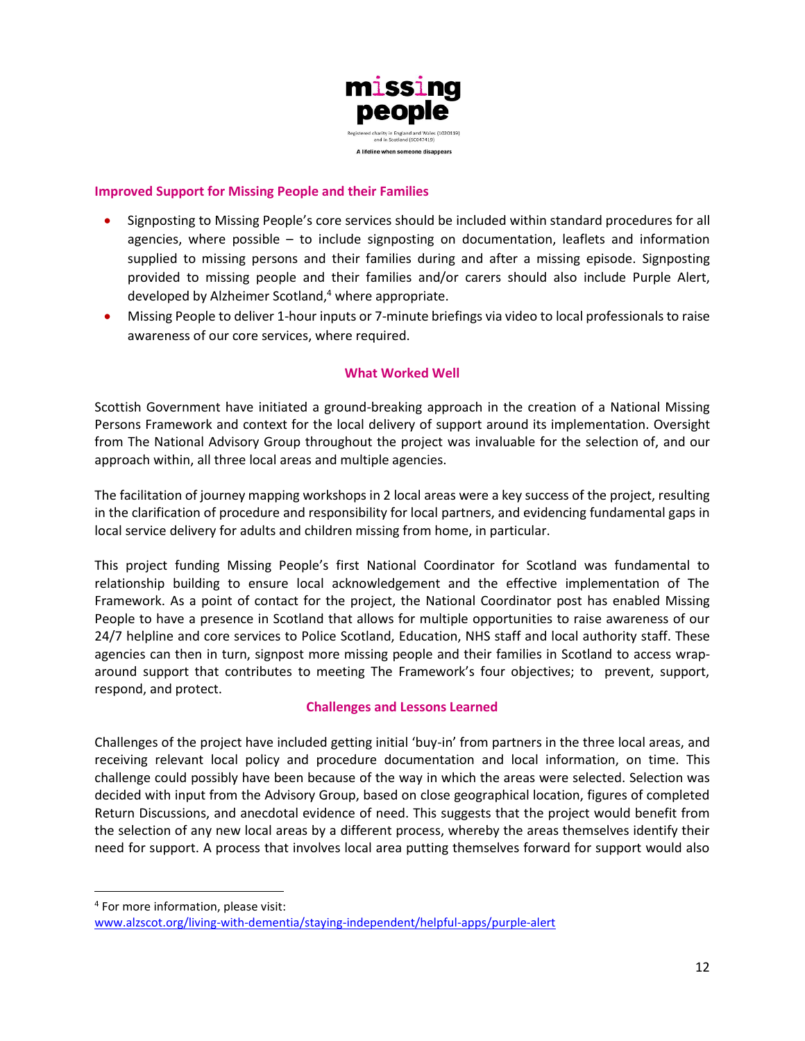

#### **Improved Support for Missing People and their Families**

- Signposting to Missing People's core services should be included within standard procedures for all agencies, where possible – to include signposting on documentation, leaflets and information supplied to missing persons and their families during and after a missing episode. Signposting provided to missing people and their families and/or carers should also include Purple Alert, developed by Alzheimer Scotland,<sup>4</sup> where appropriate.
- Missing People to deliver 1-hour inputs or 7-minute briefings via video to local professionals to raise awareness of our core services, where required.

#### **What Worked Well**

Scottish Government have initiated a ground-breaking approach in the creation of a National Missing Persons Framework and context for the local delivery of support around its implementation. Oversight from The National Advisory Group throughout the project was invaluable for the selection of, and our approach within, all three local areas and multiple agencies.

The facilitation of journey mapping workshops in 2 local areas were a key success of the project, resulting in the clarification of procedure and responsibility for local partners, and evidencing fundamental gaps in local service delivery for adults and children missing from home, in particular.

This project funding Missing People's first National Coordinator for Scotland was fundamental to relationship building to ensure local acknowledgement and the effective implementation of The Framework. As a point of contact for the project, the National Coordinator post has enabled Missing People to have a presence in Scotland that allows for multiple opportunities to raise awareness of our 24/7 helpline and core services to Police Scotland, Education, NHS staff and local authority staff. These agencies can then in turn, signpost more missing people and their families in Scotland to access wraparound support that contributes to meeting The Framework's four objectives; to prevent, support, respond, and protect.

### **Challenges and Lessons Learned**

Challenges of the project have included getting initial 'buy-in' from partners in the three local areas, and receiving relevant local policy and procedure documentation and local information, on time. This challenge could possibly have been because of the way in which the areas were selected. Selection was decided with input from the Advisory Group, based on close geographical location, figures of completed Return Discussions, and anecdotal evidence of need. This suggests that the project would benefit from the selection of any new local areas by a different process, whereby the areas themselves identify their need for support. A process that involves local area putting themselves forward for support would also

<sup>4</sup> For more information, please visit:

[www.alzscot.org/living-with-dementia/staying-independent/helpful-apps/purple-alert](http://www.alzscot.org/living-with-dementia/staying-independent/helpful-apps/purple-alert)